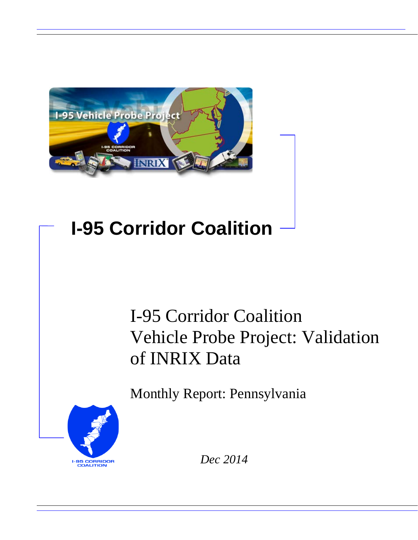

# **I-95 Corridor Coalition**

# I-95 Corridor Coalition Vehicle Probe Project: Validation of INRIX Data

Monthly Report: Pennsylvania



*Dec 2014*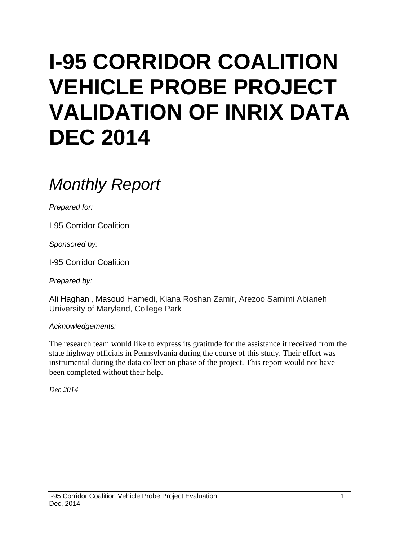# **I-95 CORRIDOR COALITION VEHICLE PROBE PROJECT VALIDATION OF INRIX DATA DEC 2014**

# *Monthly Report*

*Prepared for:*

I-95 Corridor Coalition

*Sponsored by:*

I-95 Corridor Coalition

*Prepared by:*

Ali Haghani, Masoud Hamedi, Kiana Roshan Zamir, Arezoo Samimi Abianeh University of Maryland, College Park

*Acknowledgements:*

The research team would like to express its gratitude for the assistance it received from the state highway officials in Pennsylvania during the course of this study. Their effort was instrumental during the data collection phase of the project. This report would not have been completed without their help.

*Dec 2014*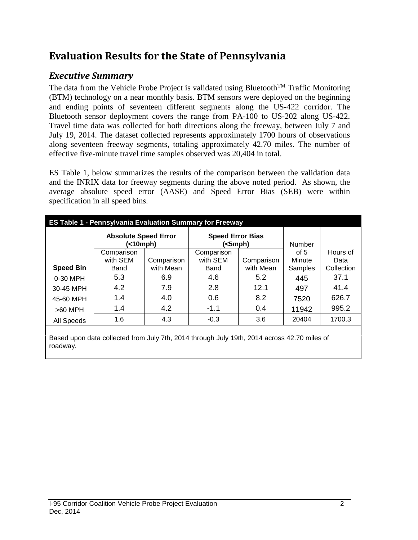## **Evaluation Results for the State of Pennsylvania**

## *Executive Summary*

The data from the Vehicle Probe Project is validated using Bluetooth<sup>TM</sup> Traffic Monitoring (BTM) technology on a near monthly basis. BTM sensors were deployed on the beginning and ending points of seventeen different segments along the US-422 corridor. The Bluetooth sensor deployment covers the range from PA-100 to US-202 along US-422. Travel time data was collected for both directions along the freeway, between July 7 and July 19, 2014. The dataset collected represents approximately 1700 hours of observations along seventeen freeway segments, totaling approximately 42.70 miles. The number of effective five-minute travel time samples observed was 20,404 in total.

ES Table 1, below summarizes the results of the comparison between the validation data and the INRIX data for freeway segments during the above noted period. As shown, the average absolute speed error (AASE) and Speed Error Bias (SEB) were within specification in all speed bins.

| <b>ES Table 1 - Pennsylvania Evaluation Summary for Freeway</b> |                                                                                             |            |                                    |            |               |            |  |  |  |  |
|-----------------------------------------------------------------|---------------------------------------------------------------------------------------------|------------|------------------------------------|------------|---------------|------------|--|--|--|--|
|                                                                 | <b>Absolute Speed Error</b><br>(<10mph)                                                     |            | <b>Speed Error Bias</b><br>(<5mph) |            | <b>Number</b> |            |  |  |  |  |
|                                                                 | Comparison                                                                                  |            | Comparison                         |            | of $5$        | Hours of   |  |  |  |  |
|                                                                 | with SEM                                                                                    | Comparison | with SEM                           | Comparison | Minute        | Data       |  |  |  |  |
| <b>Speed Bin</b>                                                | Band                                                                                        | with Mean  | Band                               | with Mean  | Samples       | Collection |  |  |  |  |
| 0-30 MPH                                                        | 5.3                                                                                         | 6.9        | 4.6                                | 5.2        | 445           | 37.1       |  |  |  |  |
| 30-45 MPH                                                       | 4.2                                                                                         | 7.9        | 2.8                                | 12.1       | 497           | 41.4       |  |  |  |  |
| 45-60 MPH                                                       | 1.4                                                                                         | 4.0        | 0.6                                | 8.2        | 7520          | 626.7      |  |  |  |  |
| $>60$ MPH                                                       | 1.4                                                                                         | 4.2        | $-1.1$                             | 0.4        | 11942         | 995.2      |  |  |  |  |
| All Speeds                                                      | 1.6                                                                                         | 4.3        | $-0.3$                             | 3.6        | 20404         | 1700.3     |  |  |  |  |
| roadway.                                                        | Based upon data collected from July 7th, 2014 through July 19th, 2014 across 42.70 miles of |            |                                    |            |               |            |  |  |  |  |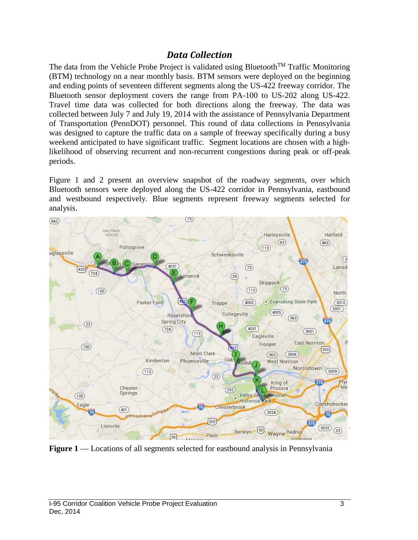### *Data Collection*

The data from the Vehicle Probe Project is validated using Bluetooth<sup>TM</sup> Traffic Monitoring (BTM) technology on a near monthly basis. BTM sensors were deployed on the beginning and ending points of seventeen different segments along the US-422 freeway corridor. The Bluetooth sensor deployment covers the range from PA-100 to US-202 along US-422. Travel time data was collected for both directions along the freeway. The data was collected between July 7 and July 19, 2014 with the assistance of Pennsylvania Department of Transportation (PennDOT) personnel. This round of data collections in Pennsylvania was designed to capture the traffic data on a sample of freeway specifically during a busy weekend anticipated to have significant traffic. Segment locations are chosen with a highlikelihood of observing recurrent and non-recurrent congestions during peak or off-peak periods.

Figure 1 and 2 present an overview snapshot of the roadway segments, over which Bluetooth sensors were deployed along the US-422 corridor in Pennsylvania, eastbound and westbound respectively. Blue segments represent freeway segments selected for analysis.



**Figure 1** — Locations of all segments selected for eastbound analysis in Pennsylvania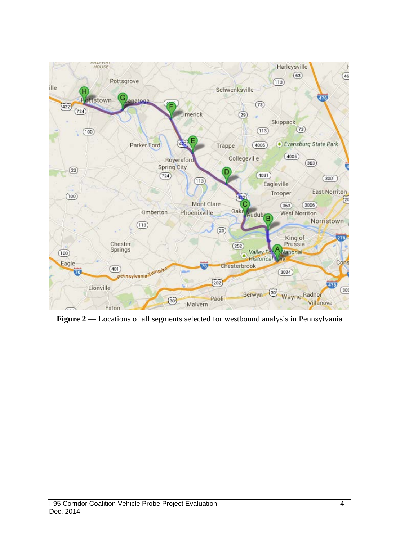

**Figure 2** –– Locations of all segments selected for westbound analysis in Pennsylvania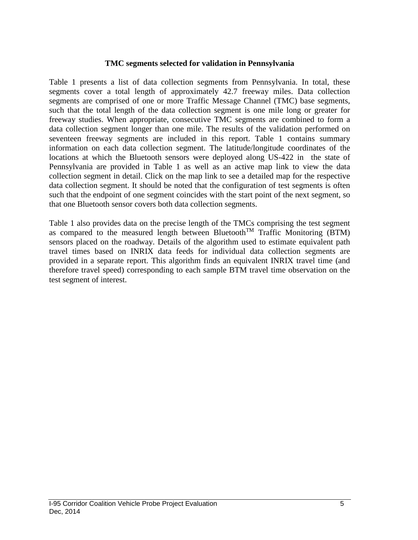#### **TMC segments selected for validation in Pennsylvania**

Table 1 presents a list of data collection segments from Pennsylvania. In total, these segments cover a total length of approximately 42.7 freeway miles. Data collection segments are comprised of one or more Traffic Message Channel (TMC) base segments, such that the total length of the data collection segment is one mile long or greater for freeway studies. When appropriate, consecutive TMC segments are combined to form a data collection segment longer than one mile. The results of the validation performed on seventeen freeway segments are included in this report. Table 1 contains summary information on each data collection segment. The latitude/longitude coordinates of the locations at which the Bluetooth sensors were deployed along US-422 in the state of Pennsylvania are provided in Table 1 as well as an active map link to view the data collection segment in detail. Click on the map link to see a detailed map for the respective data collection segment. It should be noted that the configuration of test segments is often such that the endpoint of one segment coincides with the start point of the next segment, so that one Bluetooth sensor covers both data collection segments.

Table 1 also provides data on the precise length of the TMCs comprising the test segment as compared to the measured length between Bluetooth<sup>TM</sup> Traffic Monitoring (BTM) sensors placed on the roadway. Details of the algorithm used to estimate equivalent path travel times based on INRIX data feeds for individual data collection segments are provided in a separate report. This algorithm finds an equivalent INRIX travel time (and therefore travel speed) corresponding to each sample BTM travel time observation on the test segment of interest.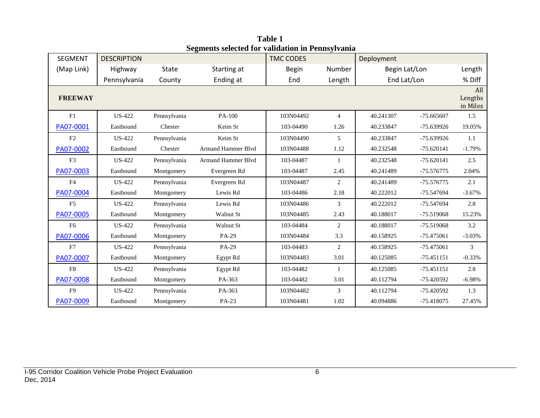| <b>SEGMENT</b> | <b>DESCRIPTION</b> |              |                           | <b>TMC CODES</b> |                | Deployment    |              |                            |
|----------------|--------------------|--------------|---------------------------|------------------|----------------|---------------|--------------|----------------------------|
| (Map Link)     | Highway            | State        | Starting at               | <b>Begin</b>     | Number         | Begin Lat/Lon |              | Length                     |
|                | Pennsylvania       | County       | Ending at                 | End              | Length         | End Lat/Lon   |              | % Diff                     |
| <b>FREEWAY</b> |                    |              |                           |                  |                |               |              | All<br>Lengths<br>in Miles |
| F1             | <b>US-422</b>      | Pennsylvania | PA-100                    | 103N04492        | $\overline{4}$ | 40.241307     | $-75.665607$ | 1.5                        |
| PA07-0001      | Eastbound          | Chester      | Keim St                   | 103-04490        | 1.26           | 40.233847     | -75.639926   | 19.05%                     |
| F2             | <b>US-422</b>      | Pennsylvania | Keim St                   | 103N04490        | 5              | 40.233847     | -75.639926   | 1.1                        |
| PA07-0002      | Eastbound          | Chester      | Armand Hammer Blvd        | 103N04488        | 1.12           | 40.232548     | $-75.620141$ | $-1.79%$                   |
| F <sub>3</sub> | <b>US-422</b>      | Pennsylvania | <b>Armand Hammer Blvd</b> | 103-04487        | $\mathbf{1}$   | 40.232548     | $-75.620141$ | 2.5                        |
| PA07-0003      | Eastbound          | Montgomery   | Evergreen Rd              | 103-04487        | 2.45           | 40.241489     | -75.576775   | 2.04%                      |
| F <sub>4</sub> | <b>US-422</b>      | Pennsylvania | Evergreen Rd              | 103N04487        | 2              | 40.241489     | -75.576775   | 2.1                        |
| PA07-0004      | Eastbound          | Montgomery   | Lewis Rd                  | 103-04486        | 2.18           | 40.222012     | -75.547694   | $-3.67%$                   |
| F <sub>5</sub> | <b>US-422</b>      | Pennsylvania | Lewis Rd                  | 103N04486        | 3              | 40.222012     | -75.547694   | 2.8                        |
| PA07-0005      | Eastbound          | Montgomery   | Walnut St                 | 103N04485        | 2.43           | 40.188017     | -75.519068   | 15.23%                     |
| F <sub>6</sub> | <b>US-422</b>      | Pennsylvania | Walnut St                 | 103-04484        | 2              | 40.188017     | -75.519068   | 3.2                        |
| PA07-0006      | Eastbound          | Montgomery   | PA-29                     | 103N04484        | 3.3            | 40.158925     | -75.475061   | $-3.03%$                   |
| F7             | <b>US-422</b>      | Pennsylvania | PA-29                     | 103-04483        | 2              | 40.158925     | $-75.475061$ | 3                          |
| PA07-0007      | Eastbound          | Montgomery   | Egypt Rd                  | 103N04483        | 3.01           | 40.125085     | $-75.451151$ | $-0.33%$                   |
| F8             | <b>US-422</b>      | Pennsylvania | Egypt Rd                  | 103-04482        | $\mathbf{1}$   | 40.125085     | $-75.451151$ | 2.8                        |
| PA07-0008      | Eastbound          | Montgomery   | PA-363                    | 103-04482        | 3.01           | 40.112794     | $-75.420592$ | $-6.98%$                   |
| F <sub>9</sub> | US-422             | Pennsylvania | PA-363                    | 103N04482        | 3              | 40.112794     | $-75.420592$ | 1.3                        |
| PA07-0009      | Eastbound          | Montgomery   | PA-23                     | 103N04481        | 1.02           | 40.094886     | -75.418075   | 27.45%                     |

**Table 1 Segments selected for validation in Pennsylvania**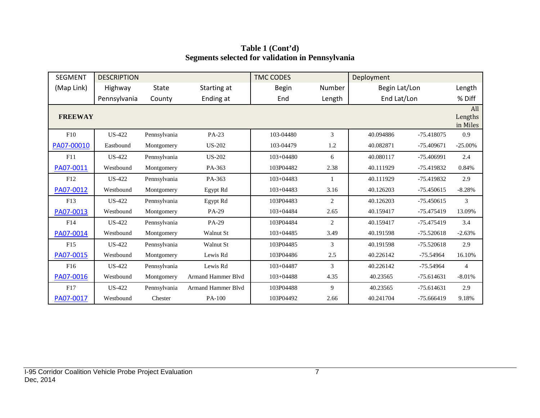| <b>SEGMENT</b>  | <b>DESCRIPTION</b> |              |                           | <b>TMC CODES</b> |                | Deployment    |              |                            |
|-----------------|--------------------|--------------|---------------------------|------------------|----------------|---------------|--------------|----------------------------|
| (Map Link)      | Highway            | <b>State</b> | Starting at               | <b>Begin</b>     | Number         | Begin Lat/Lon |              | Length                     |
|                 | Pennsylvania       | County       | Ending at                 | End              | Length         | End Lat/Lon   |              | % Diff                     |
| <b>FREEWAY</b>  |                    |              |                           |                  |                |               |              | All<br>Lengths<br>in Miles |
| F10             | <b>US-422</b>      | Pennsylvania | PA-23                     | 103-04480        | 3              | 40.094886     | $-75.418075$ | 0.9                        |
| PA07-00010      | Eastbound          | Montgomery   | <b>US-202</b>             | 103-04479        | 1.2            | 40.082871     | $-75.409671$ | $-25.00\%$                 |
| F11             | <b>US-422</b>      | Pennsylvania | <b>US-202</b>             | $103 + 04480$    | 6              | 40.080117     | $-75.406991$ | 2.4                        |
| PA07-0011       | Westbound          | Montgomery   | PA-363                    | 103P04482        | 2.38           | 40.111929     | -75.419832   | 0.84%                      |
| F12             | <b>US-422</b>      | Pennsylvania | PA-363                    | $103 + 04483$    | $\mathbf{1}$   | 40.111929     | -75.419832   | 2.9                        |
| PA07-0012       | Westbound          | Montgomery   | Egypt Rd                  | $103 + 04483$    | 3.16           | 40.126203     | $-75.450615$ | $-8.28%$                   |
| F13             | <b>US-422</b>      | Pennsylvania | Egypt Rd                  | 103P04483        | $\overline{2}$ | 40.126203     | $-75.450615$ | 3                          |
| PA07-0013       | Westbound          | Montgomery   | PA-29                     | $103 + 04484$    | 2.65           | 40.159417     | -75.475419   | 13.09%                     |
| F14             | <b>US-422</b>      | Pennsylvania | PA-29                     | 103P04484        | 2              | 40.159417     | -75.475419   | 3.4                        |
| PA07-0014       | Westbound          | Montgomery   | Walnut St                 | $103 + 04485$    | 3.49           | 40.191598     | $-75.520618$ | $-2.63%$                   |
| F15             | <b>US-422</b>      | Pennsylvania | <b>Walnut St</b>          | 103P04485        | 3              | 40.191598     | $-75.520618$ | 2.9                        |
| PA07-0015       | Westbound          | Montgomery   | Lewis Rd                  | 103P04486        | 2.5            | 40.226142     | $-75.54964$  | 16.10%                     |
| F <sub>16</sub> | <b>US-422</b>      | Pennsylvania | Lewis Rd                  | $103 + 04487$    | 3              | 40.226142     | $-75.54964$  | $\overline{4}$             |
| PA07-0016       | Westbound          | Montgomery   | <b>Armand Hammer Blvd</b> | $103 + 04488$    | 4.35           | 40.23565      | $-75.614631$ | $-8.01%$                   |
| F17             | <b>US-422</b>      | Pennsylvania | <b>Armand Hammer Blvd</b> | 103P04488        | 9              | 40.23565      | $-75.614631$ | 2.9                        |
| PA07-0017       | Westbound          | Chester      | PA-100                    | 103P04492        | 2.66           | 40.241704     | $-75.666419$ | 9.18%                      |

#### **Table 1 (Cont'd) Segments selected for validation in Pennsylvania**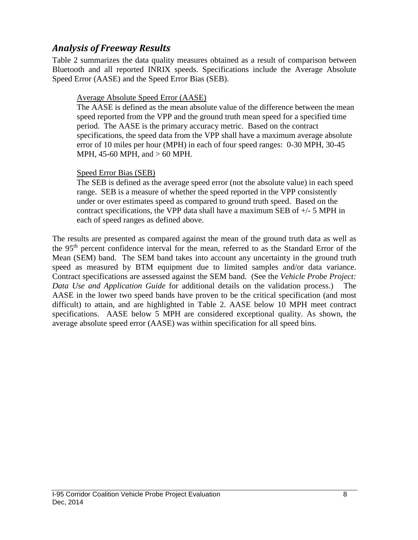### *Analysis of Freeway Results*

Table 2 summarizes the data quality measures obtained as a result of comparison between Bluetooth and all reported INRIX speeds. Specifications include the Average Absolute Speed Error (AASE) and the Speed Error Bias (SEB).

#### Average Absolute Speed Error (AASE)

The AASE is defined as the mean absolute value of the difference between the mean speed reported from the VPP and the ground truth mean speed for a specified time period. The AASE is the primary accuracy metric. Based on the contract specifications, the speed data from the VPP shall have a maximum average absolute error of 10 miles per hour (MPH) in each of four speed ranges: 0-30 MPH, 30-45 MPH, 45-60 MPH, and > 60 MPH.

#### Speed Error Bias (SEB)

The SEB is defined as the average speed error (not the absolute value) in each speed range. SEB is a measure of whether the speed reported in the VPP consistently under or over estimates speed as compared to ground truth speed. Based on the contract specifications, the VPP data shall have a maximum SEB of +/- 5 MPH in each of speed ranges as defined above.

The results are presented as compared against the mean of the ground truth data as well as the 95th percent confidence interval for the mean, referred to as the Standard Error of the Mean (SEM) band. The SEM band takes into account any uncertainty in the ground truth speed as measured by BTM equipment due to limited samples and/or data variance. Contract specifications are assessed against the SEM band. (See the *Vehicle Probe Project: Data Use and Application Guide* for additional details on the validation process.) The AASE in the lower two speed bands have proven to be the critical specification (and most difficult) to attain, and are highlighted in Table 2. AASE below 10 MPH meet contract specifications. AASE below 5 MPH are considered exceptional quality. As shown, the average absolute speed error (AASE) was within specification for all speed bins.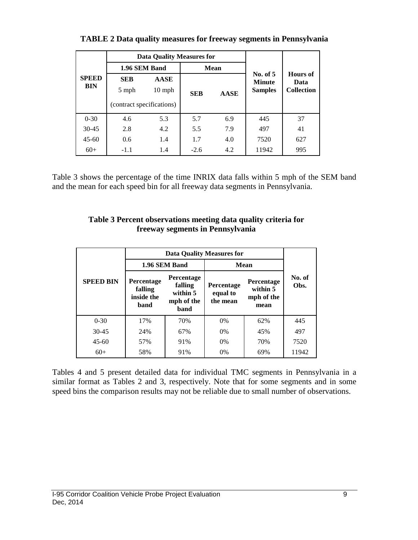|                            |                           | Data Quality Measures for |            |             |                           |                   |  |
|----------------------------|---------------------------|---------------------------|------------|-------------|---------------------------|-------------------|--|
| <b>SPEED</b><br><b>BIN</b> | 1.96 SEM Band             |                           |            | <b>Mean</b> |                           |                   |  |
|                            | <b>SEB</b>                | <b>AASE</b>               |            |             | No. of 5<br><b>Minute</b> | Hours of<br>Data  |  |
|                            | 5 mph                     | $10 \text{ mph}$          | <b>SEB</b> | AASE        | <b>Samples</b>            | <b>Collection</b> |  |
|                            | (contract specifications) |                           |            |             |                           |                   |  |
| $0 - 30$                   | 4.6                       | 5.3                       | 5.7        | 6.9         | 445                       | 37                |  |
| $30 - 45$                  | 2.8                       | 4.2                       | 5.5        | 7.9         | 497                       | 41                |  |
| $45-60$                    | 0.6                       | 1.4                       | 1.7        | 4.0         | 7520                      | 627               |  |
| $60+$                      | $-1.1$                    | 1.4                       | $-2.6$     | 4.2         | 11942                     | 995               |  |

**TABLE 2 Data quality measures for freeway segments in Pennsylvania**

Table 3 shows the percentage of the time INRIX data falls within 5 mph of the SEM band and the mean for each speed bin for all freeway data segments in Pennsylvania.

| Table 3 Percent observations meeting data quality criteria for |
|----------------------------------------------------------------|
| freeway segments in Pennsylvania                               |

|                  |                                             | <b>Data Quality Measures for</b>                               |                                    |                                              |                |  |
|------------------|---------------------------------------------|----------------------------------------------------------------|------------------------------------|----------------------------------------------|----------------|--|
|                  |                                             | 1.96 SEM Band                                                  |                                    | Mean                                         |                |  |
| <b>SPEED BIN</b> | Percentage<br>falling<br>inside the<br>band | <b>Percentage</b><br>falling<br>within 5<br>mph of the<br>band | Percentage<br>equal to<br>the mean | Percentage<br>within 5<br>mph of the<br>mean | No. of<br>Obs. |  |
| $0 - 30$         | 17%                                         | 70%                                                            | 0%                                 | 62%                                          | 445            |  |
| $30-45$          | 24%                                         | 67%                                                            | $0\%$                              | 45%                                          | 497            |  |
| $45-60$          | 57%                                         | 91%                                                            | $0\%$                              | 70%                                          | 7520           |  |
| $60+$            | 58%                                         | 91%                                                            | 0%                                 | 69%                                          | 11942          |  |

Tables 4 and 5 present detailed data for individual TMC segments in Pennsylvania in a similar format as Tables 2 and 3, respectively. Note that for some segments and in some speed bins the comparison results may not be reliable due to small number of observations.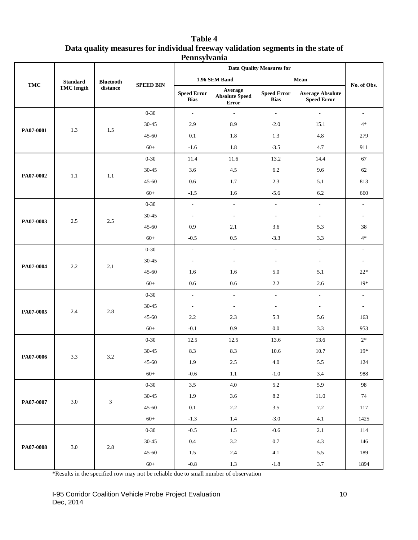| Table 4                                                                          |
|----------------------------------------------------------------------------------|
| Data quality measures for individual freeway validation segments in the state of |
| Pennsylvania                                                                     |

|           |                   |                  |                  |                                   |                                                  | <b>Data Quality Measures for</b>  |                                               |                          |
|-----------|-------------------|------------------|------------------|-----------------------------------|--------------------------------------------------|-----------------------------------|-----------------------------------------------|--------------------------|
|           | <b>Standard</b>   | <b>Bluetooth</b> |                  |                                   | 1.96 SEM Band                                    |                                   | Mean                                          |                          |
| TMC       | <b>TMC</b> length | distance         | <b>SPEED BIN</b> | <b>Speed Error</b><br><b>Bias</b> | Average<br><b>Absolute Speed</b><br><b>Error</b> | <b>Speed Error</b><br><b>Bias</b> | <b>Average Absolute</b><br><b>Speed Error</b> | No. of Obs.              |
|           |                   |                  | $0 - 30$         | $\overline{\phantom{a}}$          | $\sim$                                           | $\sim$                            | $\sim$                                        | $\overline{\phantom{a}}$ |
|           | 1.3               | 1.5              | 30-45            | 2.9                               | 8.9                                              | $-2.0$                            | 15.1                                          | $4*$                     |
| PA07-0001 |                   |                  | $45 - 60$        | 0.1                               | 1.8                                              | 1.3                               | 4.8                                           | 279                      |
|           |                   |                  | $60+$            | $-1.6$                            | 1.8                                              | $-3.5$                            | 4.7                                           | 911                      |
|           |                   |                  | $0 - 30$         | 11.4                              | 11.6                                             | 13.2                              | 14.4                                          | 67                       |
| PA07-0002 | $1.1\,$           | 1.1              | 30-45            | 3.6                               | 4.5                                              | 6.2                               | 9.6                                           | 62                       |
|           |                   |                  | $45 - 60$        | 0.6                               | 1.7                                              | 2.3                               | 5.1                                           | 813                      |
|           |                   |                  | $60+$            | $-1.5$                            | 1.6                                              | $-5.6$                            | 6.2                                           | 660                      |
|           |                   |                  | $0 - 30$         | $\omega$                          | $\mathcal{L}^{\mathcal{L}}$                      | $\mathcal{L}^{\mathcal{A}}$       | $\blacksquare$                                | $\overline{\phantom{a}}$ |
| PA07-0003 | $2.5\,$           | 2.5              | 30-45            | $\overline{\phantom{a}}$          | $\overline{\phantom{a}}$                         | $\overline{\phantom{a}}$          | $\overline{\phantom{a}}$                      |                          |
|           |                   |                  | $45 - 60$        | 0.9                               | 2.1                                              | 3.6                               | 5.3                                           | 38                       |
|           |                   |                  | $60+$            | $-0.5$                            | 0.5                                              | $-3.3$                            | 3.3                                           | $4*$                     |
|           |                   |                  | $0 - 30$         | $\overline{\phantom{a}}$          | $\overline{\phantom{a}}$                         | $\overline{\phantom{a}}$          | $\overline{\phantom{a}}$                      |                          |
| PA07-0004 | 2.2               | 2.1              | 30-45            | $\overline{\phantom{a}}$          | $\sim$                                           | $\overline{\phantom{a}}$          | $\overline{\phantom{a}}$                      | $\overline{\phantom{a}}$ |
|           |                   |                  | $45 - 60$        | 1.6                               | 1.6                                              | 5.0                               | 5.1                                           | $22*$                    |
|           |                   |                  | $60+$            | 0.6                               | 0.6                                              | 2.2                               | 2.6                                           | $19*$                    |
|           |                   |                  | $0 - 30$         | $\overline{\phantom{a}}$          | $\overline{\phantom{a}}$                         | $\overline{\phantom{a}}$          | $\overline{\phantom{a}}$                      |                          |
| PA07-0005 | 2.4               | 2.8              | 30-45            | $\overline{\phantom{a}}$          | $\overline{\phantom{a}}$                         | $\overline{\phantom{a}}$          | $\overline{\phantom{a}}$                      | $\sim$                   |
|           |                   |                  | 45-60            | 2.2                               | 2.3                                              | 5.3                               | 5.6                                           | 163                      |
|           |                   |                  | $60+$            | $-0.1$                            | $0.9\,$                                          | 0.0                               | 3.3                                           | 953                      |
|           |                   |                  | $0 - 30$         | 12.5                              | 12.5                                             | 13.6                              | 13.6                                          | $2*$                     |
| PA07-0006 | 3.3               | 3.2              | 30-45            | 8.3                               | 8.3                                              | 10.6                              | 10.7                                          | $19*$                    |
|           |                   |                  | 45-60            | 1.9                               | $2.5\,$                                          | 4.0                               | 5.5                                           | 124                      |
|           |                   |                  | $60+$            | $-0.6$                            | $1.1\,$                                          | $-1.0$                            | 3.4                                           | 988                      |
|           |                   |                  | $0 - 30$         | $3.5\,$                           | $4.0\,$                                          | 5.2                               | 5.9                                           | 98                       |
| PA07-0007 | $3.0\,$           | $\sqrt{3}$       | $30 - 45$        | 1.9                               | $3.6\,$                                          | $\ \ 8.2$                         | $11.0\,$                                      | $74\,$                   |
|           |                   |                  | $45 - 60$        | $0.1\,$                           | $2.2\,$                                          | $3.5\,$                           | $7.2\,$                                       | 117                      |
|           |                   |                  | $60+$            | $-1.3$                            | 1.4                                              | $-3.0$                            | 4.1                                           | 1425                     |
|           |                   |                  | $0 - 30$         | $-0.5$                            | $1.5\,$                                          | $-0.6$                            | $2.1\,$                                       | 114                      |
| PA07-0008 | $3.0\,$           | $2.8\,$          | $30 - 45$        | $0.4\,$                           | $3.2\,$                                          | $0.7\,$                           | 4.3                                           | 146                      |
|           |                   |                  | 45-60            | 1.5                               | $2.4\,$                                          | $4.1\,$                           | 5.5                                           | 189                      |
|           |                   |                  | $60+$            | $-0.8\,$                          | $1.3\,$                                          | $\mbox{-}1.8$                     | $3.7\,$                                       | 1894                     |

\*Results in the specified row may not be reliable due to small number of observation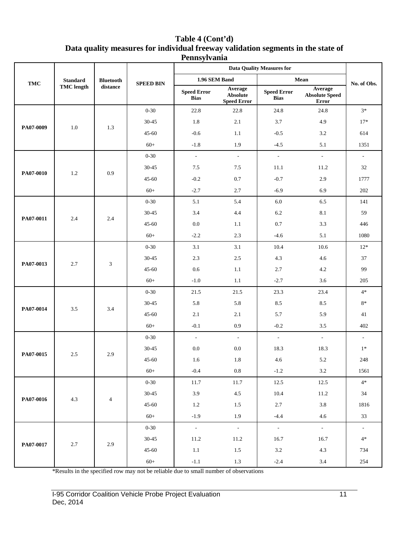| Table 4 (Cont'd)                                                                 |
|----------------------------------------------------------------------------------|
| Data quality measures for individual freeway validation segments in the state of |
| <b>Pennsylvania</b>                                                              |

|            |                   |                  |                  |                                   |                                                  | <b>Data Quality Measures for</b>  |                                                  |                          |
|------------|-------------------|------------------|------------------|-----------------------------------|--------------------------------------------------|-----------------------------------|--------------------------------------------------|--------------------------|
| <b>TMC</b> | <b>Standard</b>   | <b>Bluetooth</b> | <b>SPEED BIN</b> |                                   | 1.96 SEM Band                                    |                                   | Mean                                             | No. of Obs.              |
|            | <b>TMC</b> length | distance         |                  | <b>Speed Error</b><br><b>Bias</b> | Average<br><b>Absolute</b><br><b>Speed Error</b> | <b>Speed Error</b><br><b>Bias</b> | Average<br><b>Absolute Speed</b><br><b>Error</b> |                          |
|            |                   |                  | $0 - 30$         | 22.8                              | 22.8                                             | 24.8                              | 24.8                                             | $3*$                     |
|            |                   |                  | 30-45            | 1.8                               | 2.1                                              | 3.7                               | 4.9                                              | $17*$                    |
| PA07-0009  | 1.0               | 1.3              | $45 - 60$        | $-0.6$                            | 1.1                                              | $-0.5$                            | 3.2                                              | 614                      |
|            |                   |                  | $60+$            | $-1.8$                            | 1.9                                              | $-4.5$                            | 5.1                                              | 1351                     |
|            |                   |                  | $0 - 30$         | $\Box$                            | $\sim$                                           | $\overline{\phantom{a}}$          | $\overline{\phantom{a}}$                         | $\overline{\phantom{a}}$ |
|            |                   |                  | $30 - 45$        | 7.5                               | 7.5                                              | 11.1                              | 11.2                                             | 32                       |
| PA07-0010  | 1.2               | 0.9              | $45 - 60$        | $-0.2$                            | 0.7                                              | $-0.7$                            | 2.9                                              | 1777                     |
|            |                   |                  | $60+$            | $-2.7$                            | 2.7                                              | $-6.9$                            | 6.9                                              | 202                      |
|            |                   |                  | $0 - 30$         | 5.1                               | 5.4                                              | $6.0\,$                           | 6.5                                              | 141                      |
|            |                   |                  | 30-45            | 3.4                               | 4.4                                              | 6.2                               | 8.1                                              | 59                       |
| PA07-0011  | 2.4               | 2.4              | $45 - 60$        | 0.0                               | 1.1                                              | $0.7\,$                           | 3.3                                              | 446                      |
|            |                   |                  | $60+$            | $-2.2$                            | 2.3                                              | $-4.6$                            | 5.1                                              | 1080                     |
|            |                   |                  | $0 - 30$         | 3.1                               | 3.1                                              | 10.4                              | 10.6                                             | $12*$                    |
|            | 2.7               | 3                | 30-45            | 2.3                               | $2.5\,$                                          | 4.3                               | 4.6                                              | 37                       |
| PA07-0013  |                   |                  | $45 - 60$        | 0.6                               | 1.1                                              | 2.7                               | 4.2                                              | 99                       |
|            |                   |                  | $60+$            | $-1.0$                            | 1.1                                              | $-2.7$                            | 3.6                                              | 205                      |
|            |                   |                  | $0 - 30$         | 21.5                              | 21.5                                             | 23.3                              | 23.4                                             | $4*$                     |
| PA07-0014  | 3.5               | 3.4              | $30 - 45$        | 5.8                               | 5.8                                              | 8.5                               | 8.5                                              | $8*$                     |
|            |                   |                  | $45 - 60$        | 2.1                               | 2.1                                              | 5.7                               | 5.9                                              | 41                       |
|            |                   |                  | $60+$            | $-0.1$                            | 0.9                                              | $-0.2$                            | 3.5                                              | 402                      |
|            |                   |                  | $0 - 30$         | $\blacksquare$                    | $\sim$                                           | $\overline{\phantom{a}}$          | $\overline{\phantom{a}}$                         | $\sim$                   |
| PA07-0015  | 2.5               | 2.9              | $30 - 45$        | $0.0\,$                           | 0.0                                              | 18.3                              | 18.3                                             | $1*$                     |
|            |                   |                  | $45 - 60$        | 1.6                               | 1.8                                              | 4.6                               | 5.2                                              | 248                      |
|            |                   |                  | $60+$            | $-0.4$                            | $\rm 0.8$                                        | $-1.2$                            | $3.2\,$                                          | 1561                     |
|            |                   |                  | $0 - 30$         | 11.7                              | 11.7                                             | 12.5                              | 12.5                                             | $4*$                     |
| PA07-0016  | $4.3\,$           | $\overline{4}$   | $30 - 45$        | 3.9                               | 4.5                                              | 10.4                              | 11.2                                             | 34                       |
|            |                   |                  | $45 - 60$        | 1.2                               | 1.5                                              | 2.7                               | 3.8                                              | 1816                     |
|            |                   |                  | $60+$            | $-1.9$                            | 1.9                                              | $-4.4$                            | 4.6                                              | 33                       |
|            |                   |                  | $0 - 30$         | $\sim$                            | $\sim$ $\sim$                                    | $\omega_{\rm c}$                  | $\sim$                                           | $\omega_{\rm c}$         |
| PA07-0017  | $2.7\,$           | 2.9              | $30 - 45$        | 11.2                              | 11.2                                             | 16.7                              | 16.7                                             | $4*$                     |
|            |                   |                  | $45 - 60$        | 1.1                               | 1.5                                              | $3.2\,$                           | 4.3                                              | 734                      |
|            |                   |                  | $60+$            | $-1.1$                            | 1.3                                              | $-2.4$                            | 3.4                                              | 254                      |

\*Results in the specified row may not be reliable due to small number of observations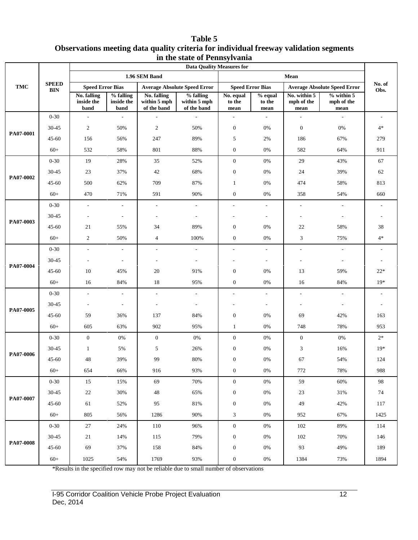#### **Table 5 Observations meeting data quality criteria for individual freeway validation segments in the state of Pennsylvania**

|           |                            | <b>Data Quality Measures for</b>  |                                 |                                            |                                          |                             |                           |                                    |                                     |                          |  |
|-----------|----------------------------|-----------------------------------|---------------------------------|--------------------------------------------|------------------------------------------|-----------------------------|---------------------------|------------------------------------|-------------------------------------|--------------------------|--|
|           |                            |                                   |                                 | 1.96 SEM Band                              |                                          |                             |                           | Mean                               |                                     |                          |  |
| TMC       | <b>SPEED</b><br><b>BIN</b> | <b>Speed Error Bias</b>           |                                 |                                            | <b>Average Absolute Speed Error</b>      | <b>Speed Error Bias</b>     |                           |                                    | <b>Average Absolute Speed Error</b> | No. of<br>Obs.           |  |
|           |                            | No. falling<br>inside the<br>band | % falling<br>inside the<br>band | No. falling<br>within 5 mph<br>of the band | % falling<br>within 5 mph<br>of the band | No. equal<br>to the<br>mean | % equal<br>to the<br>mean | No. within 5<br>mph of the<br>mean | $%$ within 5<br>mph of the<br>mean  |                          |  |
|           | $0 - 30$                   | $\overline{\phantom{a}}$          | $\blacksquare$                  | $\sim$                                     | $\omega$                                 | ÷,                          | $\overline{\phantom{a}}$  | $\overline{\phantom{a}}$           | $\blacksquare$                      |                          |  |
| PA07-0001 | 30-45                      | $\sqrt{2}$                        | 50%                             | $\overline{2}$                             | 50%                                      | $\boldsymbol{0}$            | 0%                        | $\mathbf{0}$                       | 0%                                  | $4*$                     |  |
|           | $45 - 60$                  | 156                               | 56%                             | 247                                        | 89%                                      | 5                           | 2%                        | 186                                | 67%                                 | 279                      |  |
|           | $60+$                      | 532                               | 58%                             | 801                                        | 88%                                      | $\boldsymbol{0}$            | 0%                        | 582                                | 64%                                 | 911                      |  |
|           | $0 - 30$                   | 19                                | 28%                             | 35                                         | 52%                                      | $\mathbf{0}$                | $0\%$                     | 29                                 | 43%                                 | 67                       |  |
|           | 30-45                      | 23                                | 37%                             | 42                                         | 68%                                      | $\boldsymbol{0}$            | $0\%$                     | 24                                 | 39%                                 | 62                       |  |
| PA07-0002 | $45 - 60$                  | 500                               | 62%                             | 709                                        | 87%                                      | $\mathbf{1}$                | 0%                        | 474                                | 58%                                 | 813                      |  |
|           | $60+$                      | 470                               | 71%                             | 591                                        | 90%                                      | $\boldsymbol{0}$            | $0\%$                     | 358                                | 54%                                 | 660                      |  |
|           | $0 - 30$                   | $\overline{\phantom{a}}$          | $\overline{\phantom{a}}$        | $\blacksquare$                             | $\overline{\phantom{a}}$                 | $\overline{a}$              | $\overline{\phantom{a}}$  | $\overline{\phantom{a}}$           | $\blacksquare$                      | $\overline{\phantom{a}}$ |  |
|           | 30-45                      |                                   | $\overline{\phantom{a}}$        | $\overline{\phantom{a}}$                   | $\overline{\phantom{a}}$                 |                             | $\overline{\phantom{a}}$  |                                    | ÷,                                  | $\overline{\phantom{a}}$ |  |
| PA07-0003 | 45-60                      | 21                                | 55%                             | 34                                         | 89%                                      | $\boldsymbol{0}$            | 0%                        | 22                                 | 58%                                 | 38                       |  |
|           | $60+$                      | $\overline{c}$                    | 50%                             | $\overline{4}$                             | 100%                                     | $\boldsymbol{0}$            | $0\%$                     | 3                                  | 75%                                 | $4*$                     |  |
|           | $0 - 30$                   | $\mathcal{L}_{\mathcal{A}}$       | $\overline{\phantom{a}}$        | $\sim$                                     | $\overline{\phantom{a}}$                 | L.                          | $\overline{\phantom{a}}$  | $\overline{\phantom{a}}$           | $\blacksquare$                      |                          |  |
|           | 30-45                      |                                   | $\overline{\phantom{a}}$        |                                            | $\overline{\phantom{a}}$                 |                             | $\overline{a}$            |                                    |                                     |                          |  |
| PA07-0004 | $45 - 60$                  | 10                                | 45%                             | 20                                         | 91%                                      | $\boldsymbol{0}$            | $0\%$                     | 13                                 | 59%                                 | $22*$                    |  |
|           | $60+$                      | 16                                | 84%                             | 18                                         | 95%                                      | $\mathbf{0}$                | 0%                        | 16                                 | 84%                                 | $19*$                    |  |
|           | $0 - 30$                   | $\sim$                            | $\overline{\phantom{a}}$        | $\sim$                                     | $\sim$                                   | $\overline{a}$              | ٠                         | $\sim$                             | $\overline{a}$                      |                          |  |
| PA07-0005 | $30 - 45$                  |                                   | $\overline{\phantom{a}}$        |                                            | $\overline{\phantom{a}}$                 |                             | $\overline{\phantom{a}}$  |                                    | $\overline{\phantom{m}}$            | $\overline{\phantom{a}}$ |  |
|           | $45 - 60$                  | 59                                | 36%                             | 137                                        | 84%                                      | $\boldsymbol{0}$            | 0%                        | 69                                 | 42%                                 | 163                      |  |
|           | $60+$                      | 605                               | 63%                             | 902                                        | 95%                                      | $\mathbf{1}$                | $0\%$                     | 748                                | 78%                                 | 953                      |  |
|           | $0 - 30$                   | $\mathbf{0}$                      | $0\%$                           | $\mathbf{0}$                               | $0\%$                                    | $\boldsymbol{0}$            | $0\%$                     | $\boldsymbol{0}$                   | $0\%$                               | $2*$                     |  |
| PA07-0006 | 30-45                      | 1                                 | 5%                              | 5                                          | 26%                                      | $\boldsymbol{0}$            | 0%                        | 3                                  | 16%                                 | $19*$                    |  |
|           | $45 - 60$                  | 48                                | 39%                             | 99                                         | $80\%$                                   | $\boldsymbol{0}$            | $0\%$                     | 67                                 | 54%                                 | 124                      |  |
|           | $60+$                      | 654                               | 66%                             | 916                                        | 93%                                      | $\boldsymbol{0}$            | 0%                        | 772                                | 78%                                 | 988                      |  |
|           | $0 - 30$                   | 15                                | 15%                             | 69                                         | 70%                                      | $\boldsymbol{0}$            | $0\%$                     | 59                                 | 60%                                 | $\mathbf{98}$            |  |
|           | 30-45                      | 22                                | 30%                             | 48                                         | 65%                                      | $\boldsymbol{0}$            | $0\%$                     | 23                                 | 31%                                 | 74                       |  |
| PA07-0007 | $45 - 60$                  | 61                                | 52%                             | 95                                         | 81%                                      | $\boldsymbol{0}$            | $0\%$                     | 49                                 | 42%                                 | 117                      |  |
|           | $60+$                      | 805                               | 56%                             | 1286                                       | 90%                                      | $\mathfrak{Z}$              | $0\%$                     | 952                                | 67%                                 | 1425                     |  |
|           | $0 - 30$                   | 27                                | 24%                             | 110                                        | 96%                                      | $\boldsymbol{0}$            | $0\%$                     | 102                                | 89%                                 | 114                      |  |
|           | $30 - 45$                  | 21                                | 14%                             | 115                                        | 79%                                      | $\boldsymbol{0}$            | $0\%$                     | 102                                | 70%                                 | 146                      |  |
| PA07-0008 | 45-60                      | 69                                | 37%                             | 158                                        | 84%                                      | $\boldsymbol{0}$            | $0\%$                     | 93                                 | 49%                                 | 189                      |  |
|           | $60+$                      | 1025                              | 54%                             | 1769                                       | 93%                                      | $\boldsymbol{0}$            | 0%                        | 1384                               | 73%                                 | 1894                     |  |

\*Results in the specified row may not be reliable due to small number of observations